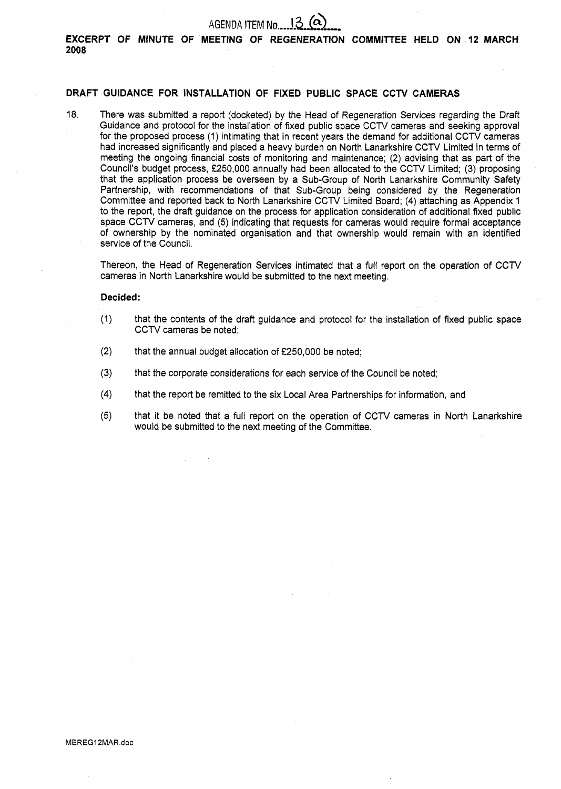## AGENDA **ITEM No....**<sup>13</sup>

**EXCERPT OF MINUTE OF MEETING OF REGENERATION COMMITTEE HELD ON 12 MARCH 2008** 

#### **DRAFT GUIDANCE FOR INSTALLATION OF FIXED PUBLIC SPACE CCTV CAMERAS**

18. There was submitted a report (docketed) by the Head of Regeneration Services regarding the Draft Guidance and protocol for the installation of fixed public space CCTV cameras and seeking approval for the proposed process (1) intimating that in recent years the demand for additional CCTV cameras had increased significantly and placed a heavy burden on North Lanarkshire CCTV Limited in terms of meeting the ongoing financial costs of monitoring and maintenance; (2) advising that as part of the Council's budget process, **f250,000** annually had been allocated to the CCN Limited; (3) proposing that the application process be overseen by a Sub-Group of North Lanarkshire Community Safety Partnership, with recommendations of that Sub-Group being considered by the Regeneration Committee and reported back to North Lanarkshire CCTV Limited Board; **(4)** attaching as Appendix I to the report, the draft guidance on the process for application consideration of additional fixed public space CCTV cameras, and (5) indicating that requests for cameras would require formal acceptance of ownership by the nominated organisation and that ownership would remain with an identified service of the Council.

Thereon, the Head of Regeneration Services intimated that a full report on the operation of CCN cameras in North Lanarkshire would be submitted to the next meeting.

#### **Decided:**

- (1) that the contents of the draft guidance and protocol for the installation of fixed public space CCTV cameras be noted;
- **(2)** that the annual budget allocation of *f250,000* be noted;
- **(3)** that the corporate considerations for each service of the Council be noted;
- **(4)** that the report be remitted to the six Local Area Partnerships for information, and
- **(5)** that it be noted that a full report on the operation of CCN cameras in North Lanarkshire would be submitted to the next meeting of the Committee.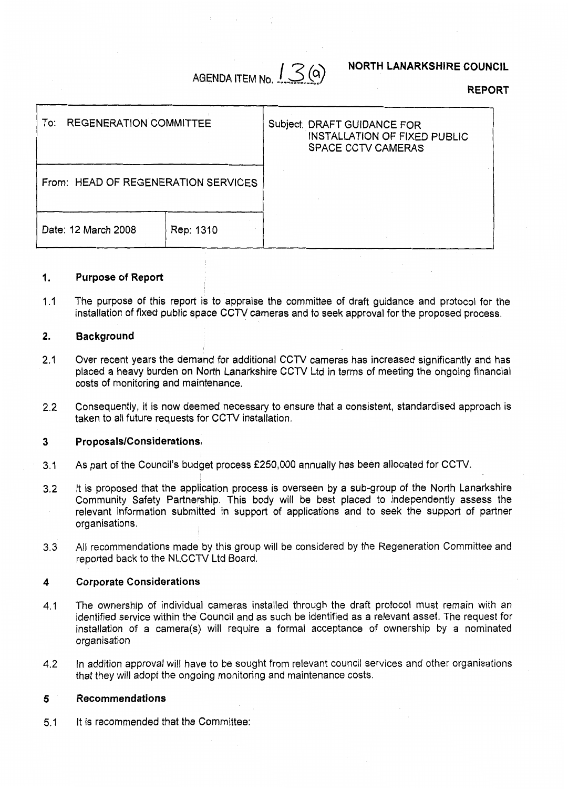## AGENDA **ITEM No.**  $\int \mathcal{S}(\mathsf{a})$

#### **NORTH LANARKSHIRE COUNCIL**

**REPORT** 

| <b>REGENERATION COMMITTEE</b><br>To: ⊺ |           | Subject: DRAFT GUIDANCE FOR<br><b>INSTALLATION OF FIXED PUBLIC</b><br><b>SPACE CCTV CAMERAS</b> |
|----------------------------------------|-----------|-------------------------------------------------------------------------------------------------|
| From: HEAD OF REGENERATION SERVICES    |           |                                                                                                 |
| Date: 12 March 2008                    | Rep: 1310 |                                                                                                 |

#### **1. Purpose of Report**

 $1.1$ The purpose of this report is to appraise the committee of draft guidance and protocol for the installation of fixed public space CCTV cameras and to seek approval for the proposed process.

#### **2. Background**

- 2.1 Over recent years the demand for additional CCTV cameras has increased significantly and has placed a heavy burden on North Lanarkshire CCTV Ltd in terms of meeting the ongoing financial costs of monitoring and maintenance.
- 2.2 Consequently, it is now deemed necessary to ensure that a consistent, standardised approach is taken to all future requests for CCTV installation.

#### **3 ProposalslConsiderations,**

- 3.1 As part of the Council's budget process **f250,000** annually has been allocated for CCTV.
- 3.2 It is proposed that the application process is overseen by a sub-group of the North Lanarkshire Community Safety Partnership. This body will be best placed to independently assess the relevant information submitted in support of applications and to seek the support of partner organisations.
- **3.3**  All recommendations made by this group will be considered by the Regeneration Committee and reported back to the NLCCTV Ltd Board.

#### **4 Corporate Considerations**

- 4.1 The ownership of individual cameras installed through the draft protocol must remain with an identified service within the Council and as such be identified as a relevant asset. The request for installation of a camera(s) will require a formal acceptance of ownership by a nominated organisation
- 4.2 In addition approval will have to be sought from relevant council services and other organisations that they will adopt the ongoing monitoring and maintenance costs.

#### **5 Recommendations**

5.1 It is recommended that the Committee: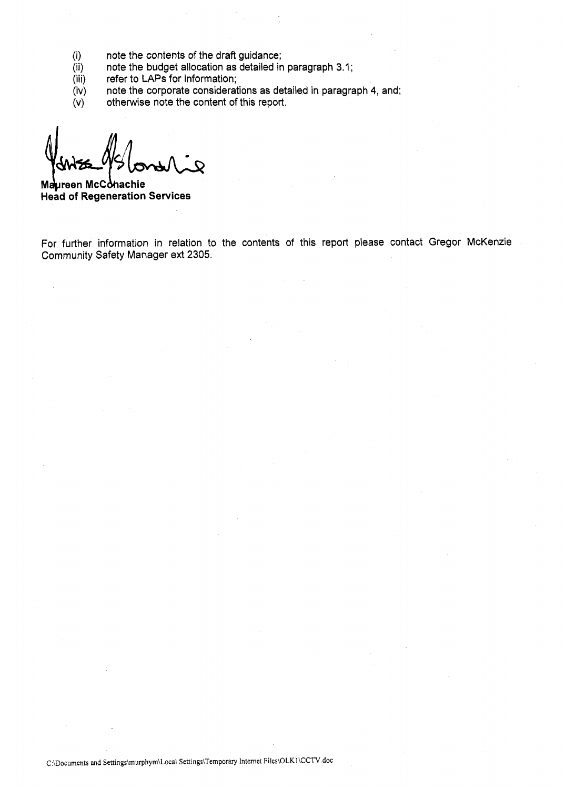- (i) note the contents of the draft guidance;
- (ii) note the budget allocation as detailed in paragraph 3.1;
- (iii) refer to **LAPS** for information;
- (iv) note the corporate considerations as detailed in paragraph **4,** and;
- $(v)$ otherwise note the content of this report.

**Maureen McConachie Head of Regeneration Services** 

For further information in relation to the contents of this report please contact Gregor McKenzie Community Safety Manager ext 2305.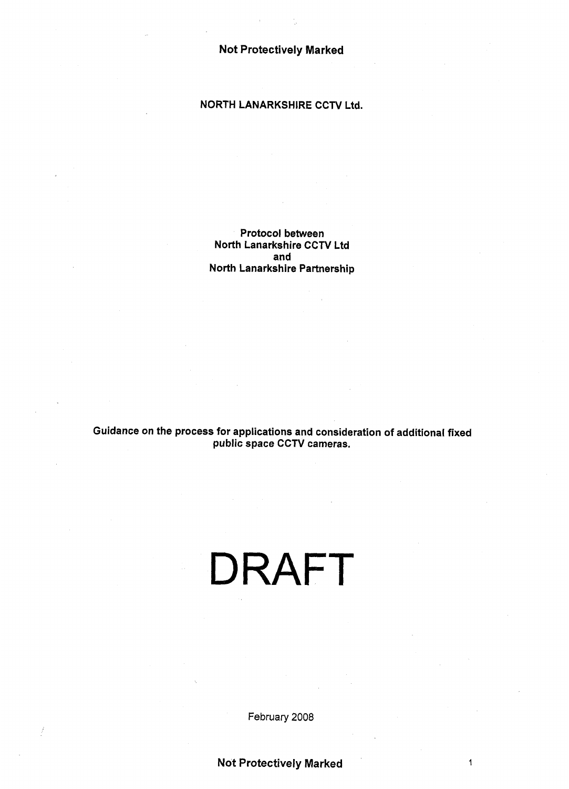#### **NORTH LANARKSHIRE CCTV Ltd.**

**Protocol between North Lanarkshire CCTV Ltd and North Lanarkshire Partnership** 

**Guidance on the process for applications and consideration of additional fixed public space CCTV cameras.** 

# DRAFT

February **2008**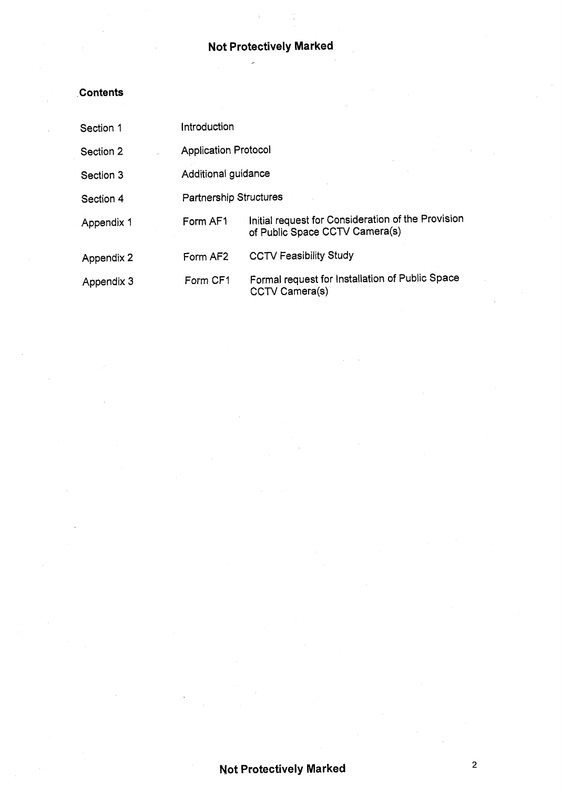## **Not Protectively Marked**

 $\overline{a}$ 

## **Contents**

| Section 1  | Introduction                  |                                                                                      |  |
|------------|-------------------------------|--------------------------------------------------------------------------------------|--|
| Section 2  | <b>Application Protocol</b>   |                                                                                      |  |
| Section 3  | Additional guidance           |                                                                                      |  |
| Section 4  | <b>Partnership Structures</b> |                                                                                      |  |
| Appendix 1 | Form AF1                      | Initial request for Consideration of the Provision<br>of Public Space CCTV Camera(s) |  |
| Appendix 2 | Form AF2                      | <b>CCTV Feasibility Study</b>                                                        |  |
| Appendix 3 | Form CF1                      | Formal request for Installation of Public Space<br>CCTV Camera(s)                    |  |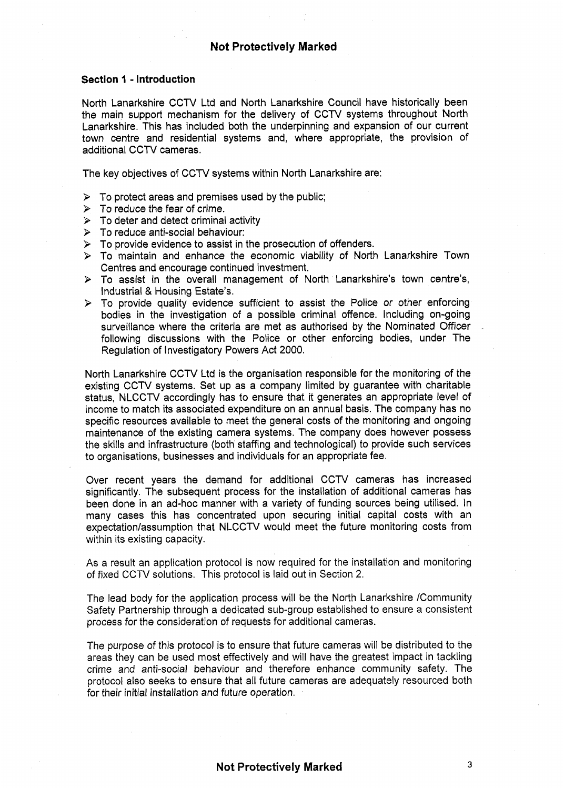#### **Section 1** - **Introduction**

North Lanarkshire CCTV Ltd and North Lanarkshire Council have historically been the main support mechanism for the delivery of CCTV systems throughout North Lanarkshire. This has included both the underpinning and expansion of our current town centre and residential systems and, where appropriate, the provision of additional CCTV cameras.

The key objectives of CCTV systems within North Lanarkshire are:

- *9*  To protect areas and premises used by the public;
- *9*  To reduce the fear of crime.
- *9*  To deter and detect criminal activity
- *9*  To reduce anti-social behaviour:
- *9*  To provide evidence to assist in the prosecution of offenders.
- *9*  To maintain and enhance the economic viability of North Lanarkshire Town Centres and encourage continued investment.
- *9*  To assist in the overall management of North Lanarkshire's town centre's, Industrial & Housing Estate's.
- *9*  To provide quality evidence sufficient to assist the Police or other enforcing bodies in the investigation of a possible criminal offence. Including on-going surveillance where the criteria are met as authorised by the Nominated Officer following discussions with the Police or other enforcing bodies, under The Regulation of Investigatory Powers Act 2000.

North Lanarkshire CCW Ltd is the organisation responsible for the monitoring of the existing CCTV systems. Set up as a company limited by guarantee with charitable status, NLCCTV accordingly has to ensure that it generates an appropriate level of income to match its associated expenditure on an annual basis. The company has no specific resources available to meet the general costs of the monitoring and ongoing maintenance of the existing camera systems. The company does however possess the skills and infrastructure (both staffing and technological) to provide such services to organisations, businesses and individuals for an appropriate fee.

Over recent years the demand for additional CCTV cameras has increased significantly. The subsequent process for the installation of additional cameras has been done in an ad-hoc manner with a variety of funding sources being utilised. In many cases this has concentrated upon securing initial capital costs with an expectation/assumption that NLCCTV would meet the future monitoring costs from within its existing capacity.

As a result an application protocol is now required for the installation and monitoring *of* fixed CCTV solutions. This protocol is laid out in Section *2.* 

The lead body for the application process will be the North Lanarkshire /Community Safety Partnership through a dedicated sub-group established to ensure a consistent process for the consideration of requests for additional cameras.

The purpose of this protocol is to ensure that future cameras will be distributed to the areas they can be used most effectively and will have the greatest impact in tackling crime and anti-social behaviour and therefore enhance community safety. The protocol also seeks to ensure that all future cameras are adequately resourced both for their initial installation and future operation.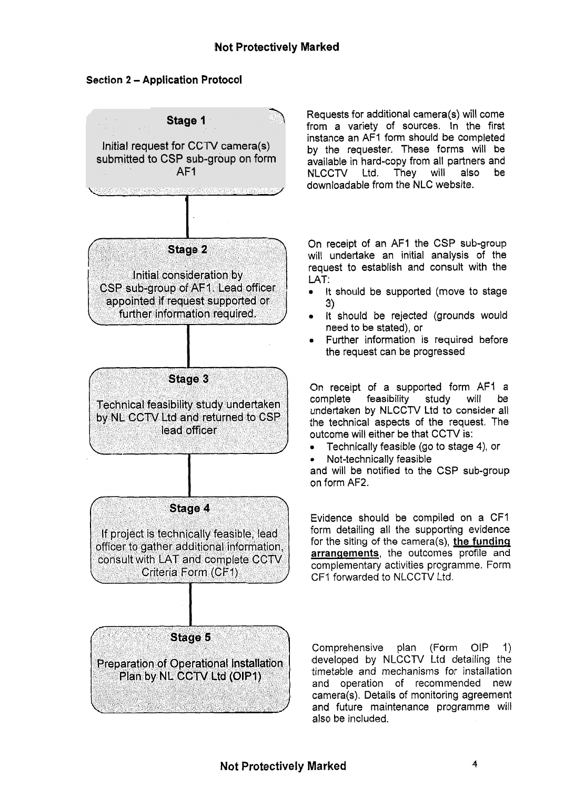## **Section 2** - **Application Protocol**



Requests for additional camera(s) will come from a variety of sources. In the first instance an AFI form should be completed by the requester. These forms will be available in hard-copy from all partners and NLCCTV Ltd. downloadable from the NLC website.

On receipt of an AFI the CSP sub-group will undertake an initial analysis of the request to establish and consult with the LAT:

- It should be supported (move to stage **3)**
- It should be rejected (grounds would need to be stated), or
- Further information is required before the request can be progressed

On receipt of a supported form AF1 a<br>complete feasibility study will be feasibility study will undertaken by NLCCTV Ltd to consider all the technical aspects of the request. The outcome will either be that CCTV is:

- *0* Technically feasible (go to stage **4),** or
- *0* Not-technically feasible

and will be notified to the CSP sub-group on form AF2.

Evidence should be compiled on a CFI form detailing all the supporting evidence for the siting of the camera(s), **the funding arrangements,** the outcomes profile and complementary activities programme. Form CF1 forwarded to NLCCTV Ltd.

Comprehensive plan (Form OIP 1) developed by NLCCTV Ltd detailing the timetable and mechanisms for installation and operation of recommended new camera(s). Details of monitoring agreement and future maintenance programme will also be included.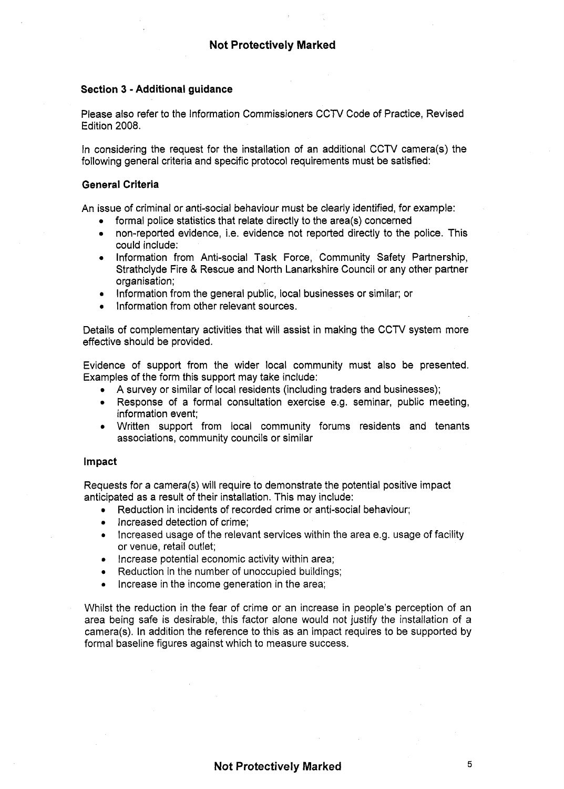#### **Section 3** - **Additional guidance**

Please also refer to the information Commissioners CCTV Code of Practice, Revised Edition 2008.

In considering the request for the installation of an additional CCTV camera(s) the following general criteria and specific protocol requirements must be satisfied:

#### **General Criteria**

An issue of criminal or anti-social behaviour must be clearly identified, for example:

- *0* formal police statistics that relate directly to the area(s) concerned
- *0* non-reported evidence, i.e. evidence not reported directly to the police. This could include:
- *0* Information from Anti-social Task Force, Community Safety Partnership, Strathclyde Fire & Rescue and North Lanarkshire Council or any other partner organisation;
- Information from the general public, local businesses or similar; or
- **•** Information from other relevant sources.

Details of complementary activities that will assist in making the CCTV system more effective should be provided.

Evidence of support from the wider local community must also be presented. Examples of the form this support may take include:

- *0* **A** survey or similar of local residents (including traders and businesses);
- *0* Response of a formal consultation exercise e.g. seminar, public meeting, information event;
- *0* Written support from local community forums residents and tenants associations, community councils or similar

#### **Impact**

Requests for a camera(s) will require to demonstrate the potential positive impact anticipated as a result of their installation. This may include:

- Reduction in incidents of recorded crime or anti-social behaviour; *0*
- *0* Increased detection of crime;
- Increased usage of the relevant services within the area e.g. usage of facility or venue, retail outlet;
- Increase potential economic activity within area; *0*
- Reduction in the number of unoccupied buildings; *0*
- Increase in the income generation in the area; *0*

Whilst the reduction in the fear of crime or an increase in people's perception of an area being safe is desirable, this factor alone would not justify the installation of *a*  camera(s). In addition the reference to this as an impact requires to be supported by formal baseline figures against which to measure success.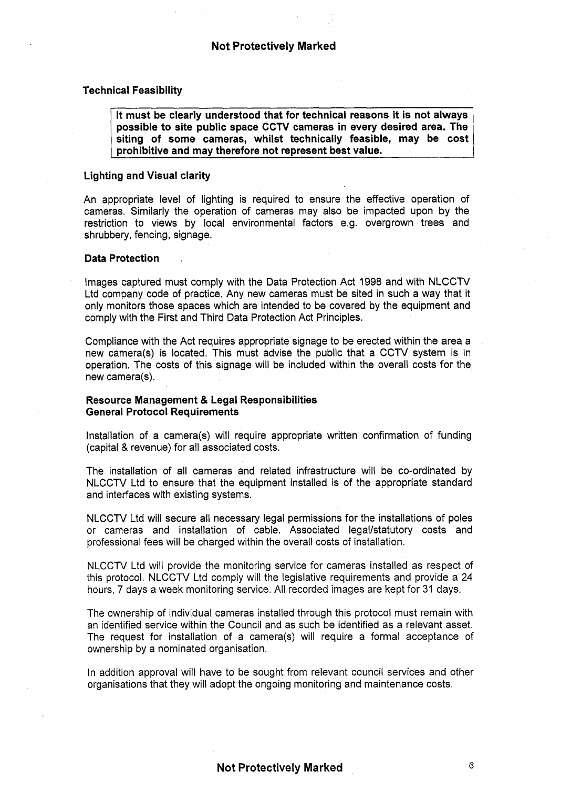#### **Technical Feasibility**

**It must be clearly understood that for technical reasons it is not always possible to site public space CCTV cameras in every desired area. The siting of some cameras, whilst technically feasible, may be cost prohibitive and may therefore not represent best value.** 

#### **Lighting and Visual clarity**

An appropriate level of lighting is required to ensure the effective operation of cameras. Similarly the operation of cameras may also be impacted upon by the restriction to views by local environmental factors e.g. overgrown trees and shrubbery, fencing, signage.

#### **Data Protection** ,

Images captured must comply with the Data Protection Act 1998 and with NLCCTV Ltd company code of practice. Any new cameras must be sited in such a way that it only monitors those spaces which are intended to be covered by the equipment and comply with the First and Third Data Protection Act Principles.

Compliance with the Act requires appropriate signage to be erected within the area a new camera(s) is located. This must advise the public that a CCTV system is in operation, The costs of this signage will be included within the overall costs for the new camera(s).

#### **Resource Management** & **Legal Responsibilities General Protocol Requirements**

Installation of a camera(s) will require appropriate written confirmation of funding (capital & revenue) for all associated costs.

The installation of all cameras and related infrastructure will be co-ordinated by NLCCTV Ltd to ensure that the equipment installed is of the appropriate standard and interfaces with existing systems.

NLCCTV Ltd will secure all necessary legal permissions for the installations of poles or cameras and installation of cable. Associated legal/statutory costs and professional fees will be charged within the overall costs of installation.

NLCCTV Ltd will provide the monitoring service for cameras installed as respect of this protocol. NLCCTV Ltd comply will the legislative requirements and provide a 24 hours, 7 days a week monitoring service. All recorded images are kept for 31 days.

The ownership of individual cameras installed through this protocol must remain with an identified service within the Council and as such be identified as a relevant asset. The request for installation of a camera(s) will require a formal acceptance of ownership by a nominated organisation.

In addition approval will have to be sought from relevant council services and other organisations that they will adopt the ongoing monitoring and maintenance costs.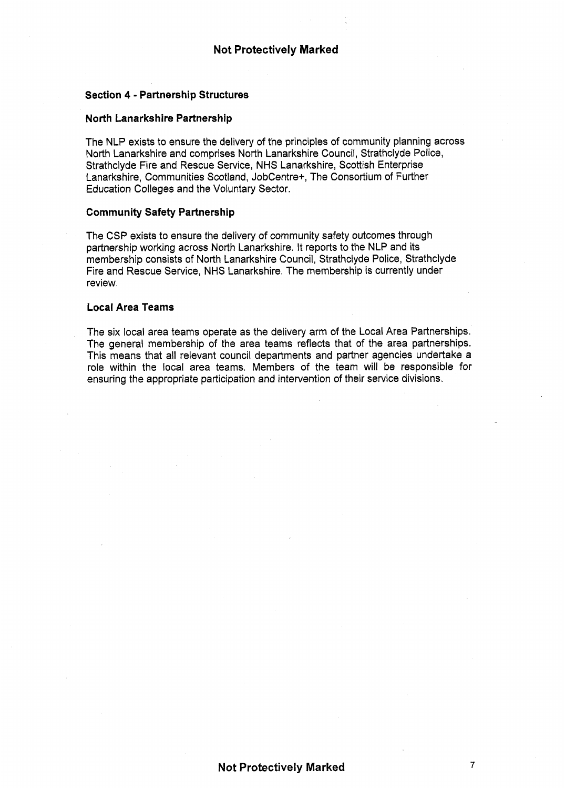#### **Section 4** - **Partnership Structures**

#### **North Lanarkshire Partnership**

The NLP exists to ensure the delivery of the principles of community planning across North Lanarkshire and comprises North Lanarkshire Council, Strathclyde Police, Strathclyde Fire and Rescue Service, NHS Lanarkshire, Scottish Enterprise Lanarkshire, Communities Scotland, Jobcentre+, The Consortium of Further Education Colleges and the Voluntary Sector.

#### **Community Safety Partnership**

The CSP exists to ensure the delivery of community safety outcomes through partnership working across North Lanarkshire. It reports to the NLP and its membership consists of North Lanarkshire Council, Strathclyde Police, Strathclyde Fire and Rescue Service, NHS Lanarkshire. The membership is currently under review.

#### **Local Area Teams**

The six local area teams operate as the delivery arm of the Local Area Partnerships. The general membership of the area teams reflects that of the area partnerships. This means that all relevant council departments and partner agencies undertake a role within the local area teams. Members of the team will be responsible for ensuring the appropriate participation and intervention of their service divisions.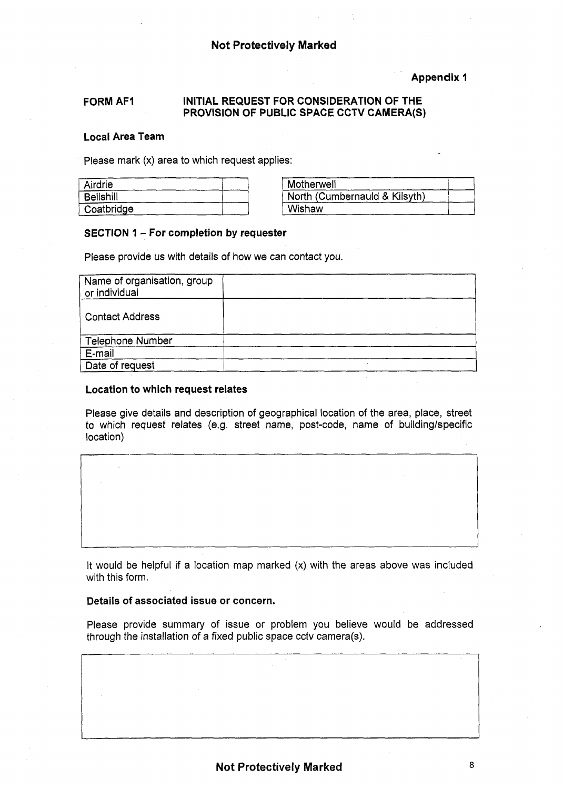#### **Appendix 1**

#### **FORM AFI INITIAL REQUEST FOR CONSIDERATION OF THE PROVISION OF PUBLIC SPACE CCTV CAMERA(S)**

#### **Local Area Team**

Please mark **(x)** area to which request applies:

| Airdrie          | Motherwell                    |
|------------------|-------------------------------|
| <b>Bellshill</b> | North (Cumbernauld & Kilsyth) |
| Coatbridge       | Wishaw                        |

#### **SECTION 1** - **For completion by requester**

Please provide us with details of how we can contact you.

| Name of organisation, group<br>or individual |  |  |
|----------------------------------------------|--|--|
| <b>Contact Address</b>                       |  |  |
| Telephone Number                             |  |  |
| E-mail                                       |  |  |
| Date of request                              |  |  |

#### **Location to which request relates**

Please give details and description of geographical location of the area, place, street to which request relates (e.g. street name, post-code, name of building/specific location)

It would be helpful if a location map marked  $(x)$  with the areas above was included with this form.

#### **Details of associated issue or concern.**

Please provide summary of issue or problem you believe would be addressed through the installation *of* a fixed public space cctv camera(s).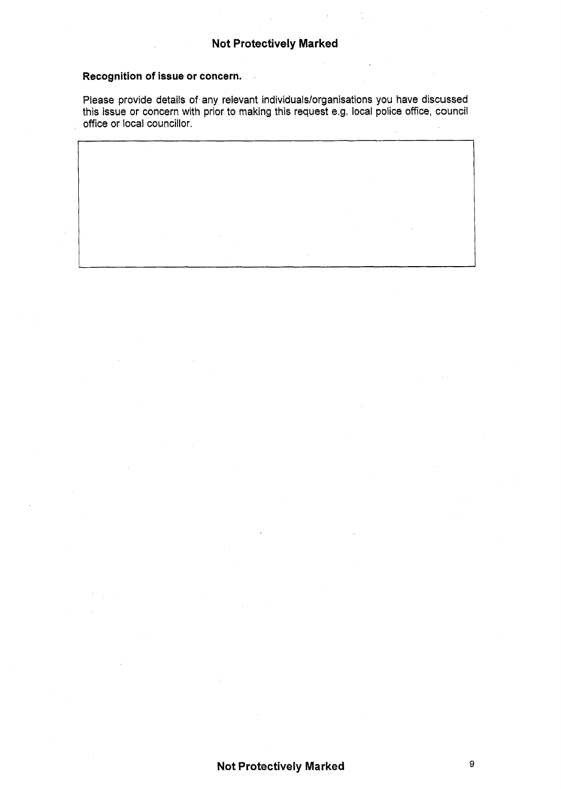## **Recognition of issue or concern.**

Please provide details of any relevant individuals/organisations you have discussed this issue **or** concern with prior to making this request e.g. local police office, council office or local councillor.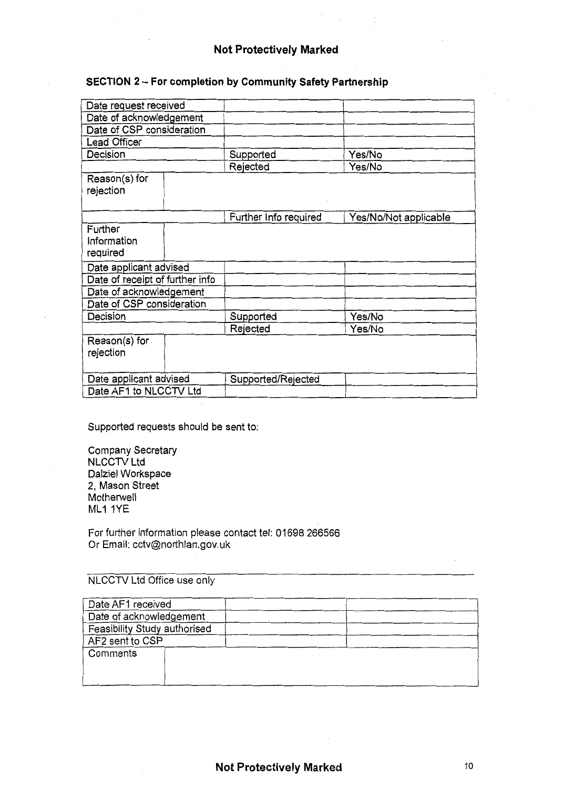#### **Not Protectively Marked**

## **SECTION 2** - **For completion by Community Safety Partnership**

| Date request received              |  |                       |                       |
|------------------------------------|--|-----------------------|-----------------------|
| Date of acknowledgement            |  |                       |                       |
| Date of CSP consideration          |  |                       |                       |
| Lead Officer                       |  |                       |                       |
| Decision                           |  | Supported             | Yes/No                |
|                                    |  | Rejected              | Yes/No                |
| Reason(s) for<br>rejection         |  |                       |                       |
|                                    |  | Further Info required | Yes/No/Not applicable |
| Further<br>Information<br>required |  |                       |                       |
| Date applicant advised             |  |                       |                       |
| Date of receipt of further info    |  |                       |                       |
| Date of acknowledgement            |  |                       |                       |
| Date of CSP consideration          |  |                       |                       |
| Decision                           |  | Supported             | Yes/No                |
|                                    |  | Rejected              | Yes/No                |
| Reason(s) for<br>rejection         |  |                       |                       |
| Date applicant advised             |  | Supported/Rejected    |                       |
| Date AF1 to NLCCTV Ltd             |  |                       |                       |

Supported requests should be sent to:

| <b>Company Secretary</b> |
|--------------------------|
| <b>NLCCTV Ltd</b>        |
| Dalziel Workspace        |
| 2, Mason Street          |
| Motherwell               |
| ML1 1YE                  |

For further information please contact tel: 01698 266566 Or Email: cctv@northlan.gov.uk

NLCCTV Ltd Office use only

| Date AF1 received            |  |  |
|------------------------------|--|--|
| Date of acknowledgement      |  |  |
| Feasibility Study authorised |  |  |
| AF2 sent to CSP              |  |  |
| Comments                     |  |  |
|                              |  |  |
|                              |  |  |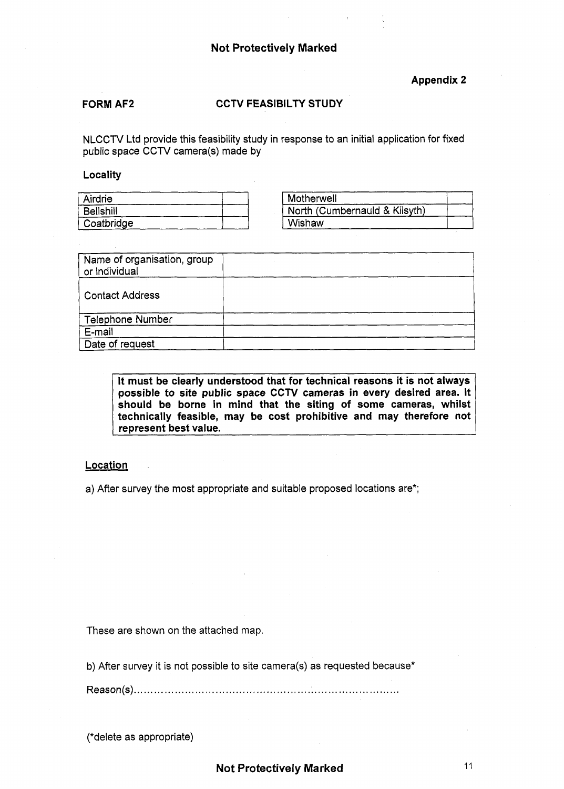#### **Not Protectively Marked**

#### **FORM AF2 CCTV FEASIBILTY STUDY**

#### **Locality**

| Airdrie    | Motherwell                    |
|------------|-------------------------------|
| Belishill  | North (Cumbernauld & Kilsyth) |
| Coatbridge | Wishaw                        |

|                                                                                                                                  | $\label{eq:2.1} \mathcal{A}^{(1)} = \mathcal{A}^{(1)} \otimes \mathcal{A}^{(2)} = \mathcal{A}^{(1)} \otimes \mathcal{A}^{(2)} \otimes \mathcal{A}^{(3)}$ |  |  |
|----------------------------------------------------------------------------------------------------------------------------------|----------------------------------------------------------------------------------------------------------------------------------------------------------|--|--|
|                                                                                                                                  | <b>Not Protectively Marked</b>                                                                                                                           |  |  |
|                                                                                                                                  | <b>Contract Contract</b><br><b>Appendix 2</b>                                                                                                            |  |  |
| <b>FORM AF2</b>                                                                                                                  | <b>CCTV FEASIBILTY STUDY</b><br><b>Contract</b>                                                                                                          |  |  |
| NLCCTV Ltd provide this feasibility study in response to an initial application for fixed<br>public space CCTV camera(s) made by |                                                                                                                                                          |  |  |
|                                                                                                                                  |                                                                                                                                                          |  |  |
| <b>Locality</b>                                                                                                                  |                                                                                                                                                          |  |  |
| Airdrie                                                                                                                          | Motherwell                                                                                                                                               |  |  |
| <b>Bellshill</b>                                                                                                                 | North (Cumbernauld & Kilsyth)                                                                                                                            |  |  |
| Coatbridge                                                                                                                       | Wishaw                                                                                                                                                   |  |  |
|                                                                                                                                  |                                                                                                                                                          |  |  |
| Name of organisation, group<br>or individual                                                                                     |                                                                                                                                                          |  |  |
| <b>Contact Address</b>                                                                                                           |                                                                                                                                                          |  |  |
| Telephone Number                                                                                                                 |                                                                                                                                                          |  |  |
| E-mail<br>Date of request                                                                                                        |                                                                                                                                                          |  |  |

It must be clearly understood that for technical reasons it is not always possible to site public space **CCTV** cameras in every desired area. It should be borne in mind that the siting of some cameras, whilst technically feasible, may be cost prohibitive and may therefore not represent best value.

#### **Location**

a) After survey the most appropriate and suitable proposed locations are\*;

These are shown on the attached map.

b) After survey it is not possible to site camera(s) as requested because\*

Reason(s). . . . . . . , . , . . . . . . . , , . . . . . . . . . , . . . , . . , . , . . . , , . , . , , . . . . . . . . . . . . . . . . . . . . . . . . . . . . . .

(\*delete as appropriate)

**Not Protectively Marked 11 11 2008 11 2008 11 2008 11 2008 11 2008 11 2008 11 2008 11 2008 11 2008 11 2008 11 2008 11 2008 12 2008 12 2008 12 2008 12 2008 12 2009 12 2009 12 2009 12 2009 12 2009 12 2009 12 2009 12 2009 12**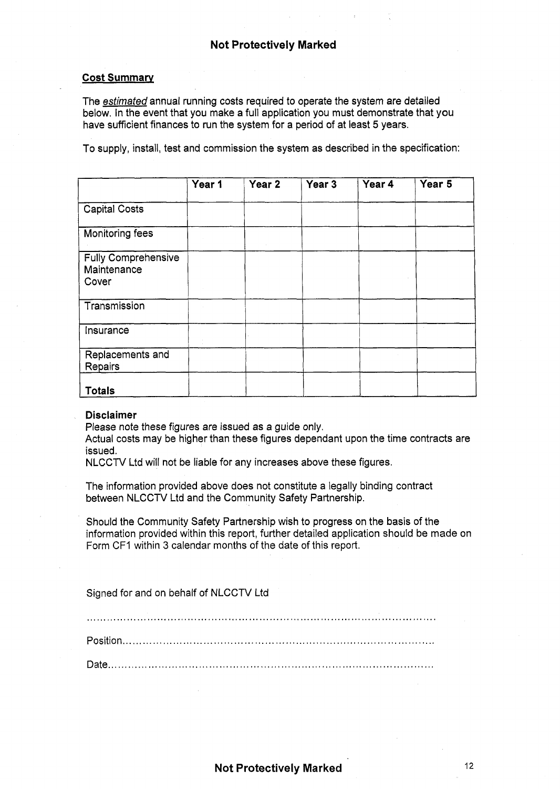#### **Cost Summary**

The *estimated* annual running costs required to operate the system are detailed below. In the event that you make a full application you must demonstrate that you have sufficient finances to run the system for a period of at least 5 years.

To supply, install, test and commission the system as described in the specification:

|                                                    | Year 1 | Year <sub>2</sub> | Year 3 | Year 4 | Year 5 |
|----------------------------------------------------|--------|-------------------|--------|--------|--------|
| <b>Capital Costs</b>                               |        |                   |        |        |        |
| <b>Monitoring fees</b>                             |        |                   |        |        |        |
| <b>Fully Comprehensive</b><br>Maintenance<br>Cover |        |                   |        |        |        |
| Transmission                                       |        |                   |        |        |        |
| Insurance                                          |        |                   |        |        |        |
| Replacements and<br>Repairs                        |        |                   |        |        |        |
| <b>Totals</b>                                      |        |                   |        |        |        |

#### **Disclaimer**

Please note these figures are issued as a guide only.

Actual costs may be higher than these figures dependant upon the time contracts are issued.

NLCCTV Ltd will not be liable for any increases above these figures.

The information provided above does not constitute a legally binding contract between NLCCTV Ltd and the Community Safety Partnership.

Should the Community Safety Partnership wish to progress on the basis of the information provided within this report, further detailed application should be made on Form CFI within 3 calendar months of the date of this report.

Signed for and on behalf of NLCCTV Ltd

.......................................................................................................

Position,, ..........................................................................................

Date.. ..............................................................................................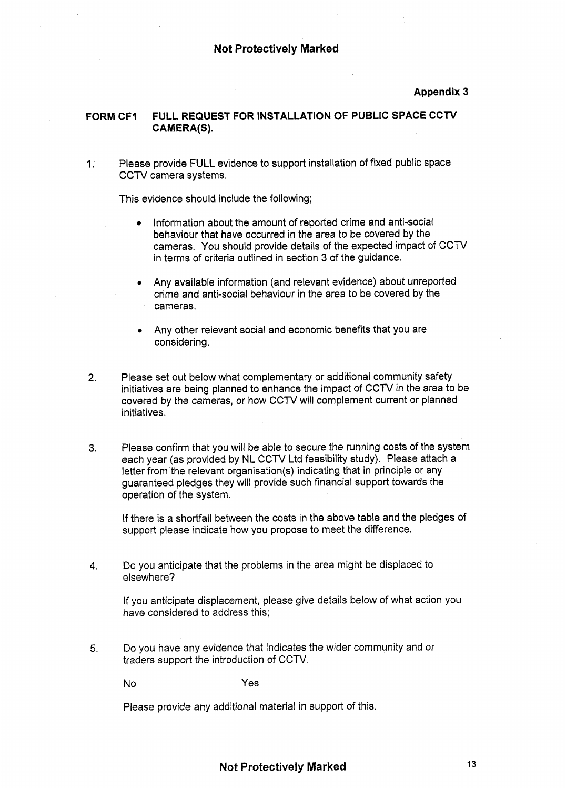#### **Appendix 3**

#### **FORM CFI FULL REQUEST FOR INSTALLATION OF PUBLIC SPACE CCTV**  CAMERA(S).

1. Please provide FULL evidence to support installation of fixed public space CCTV camera systems.

This evidence should include the following;

- Information about the amount of reported crime and anti-social behaviour that have occurred in the area to be covered by the cameras. You should provide details of the expected impact of CCTV in terms of criteria outlined in section 3 of the guidance.
- *<sup>0</sup>*Any available information (and relevant evidence) about unreported crime and anti-social behaviour in the area to be covered by the cameras.
- *0* Any other relevant social and economic benefits that you are considering.
- 2. Please set out below what complementary or additional community safety initiatives are being planned to enhance the impact of CCTV in the area to be covered by the cameras, or how CCTV will complement current or planned initiatives.
- **3.** Please confirm that you will be able to secure the running costs of the system each year (as provided by NL CCTV Ltd feasibility study). Please attach a letter from the relevant organisation(s) indicating that in principle or any guaranteed pledges they will provide such financial support towards the operation of the system.

If there is a shortfall between the costs in the above table and the pledges of support please indicate how you propose to meet the difference.

**4. Do** you anticipate that the problems in the area might be displaced to elsewhere?

If you anticipate displacement, please give details below of what action you have considered to address this;

**5.** Do you have any evidence that indicates the wider community and or traders support the introduction of CCTV.

No Yes

Please provide any additional material in support of this.